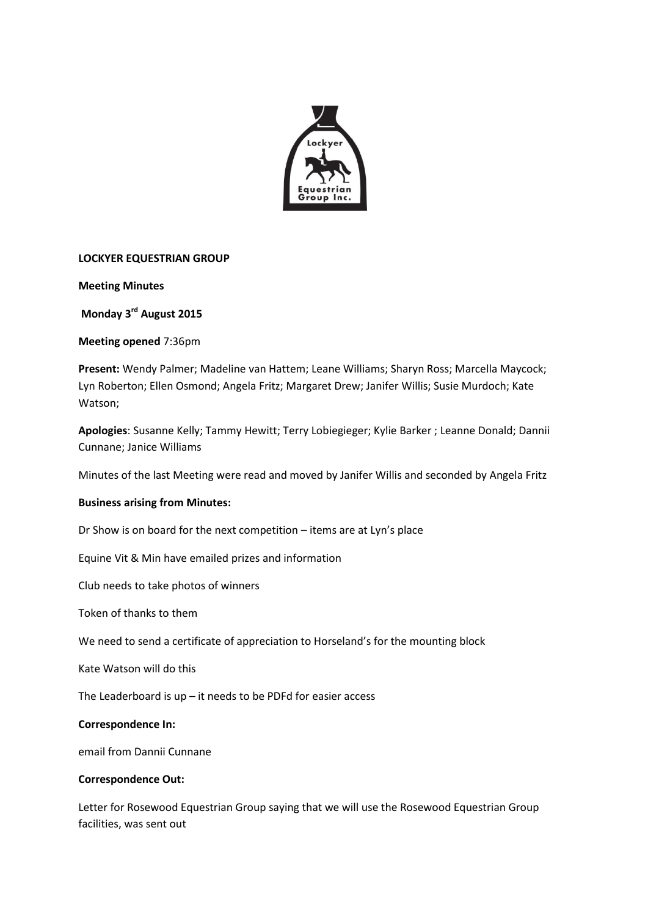

### **LOCKYER EQUESTRIAN GROUP**

**Meeting Minutes**

**Monday 3 rd August 2015**

**Meeting opened** 7:36pm

**Present:** Wendy Palmer; Madeline van Hattem; Leane Williams; Sharyn Ross; Marcella Maycock; Lyn Roberton; Ellen Osmond; Angela Fritz; Margaret Drew; Janifer Willis; Susie Murdoch; Kate Watson;

**Apologies**: Susanne Kelly; Tammy Hewitt; Terry Lobiegieger; Kylie Barker ; Leanne Donald; Dannii Cunnane; Janice Williams

Minutes of the last Meeting were read and moved by Janifer Willis and seconded by Angela Fritz

### **Business arising from Minutes:**

Dr Show is on board for the next competition – items are at Lyn's place

Equine Vit & Min have emailed prizes and information

Club needs to take photos of winners

Token of thanks to them

We need to send a certificate of appreciation to Horseland's for the mounting block

Kate Watson will do this

The Leaderboard is  $up$  – it needs to be PDFd for easier access

#### **Correspondence In:**

email from Dannii Cunnane

#### **Correspondence Out:**

Letter for Rosewood Equestrian Group saying that we will use the Rosewood Equestrian Group facilities, was sent out